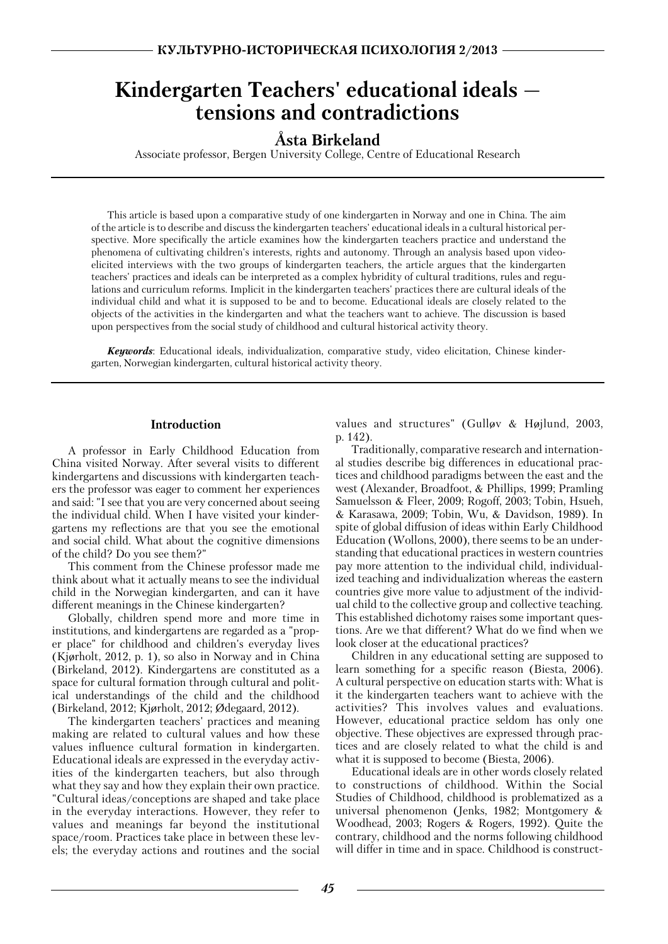# **Kindergarten Teachers' educational ideals tensions and contradictions**

# **A**° **sta Birkeland**

Associate professor, Bergen University College, Centre of Educational Research

This article is based upon a comparative study of one kindergarten in Norway and one in China. The aim of the article is to describe and discuss the kindergarten teachers' educational ideals in a cultural historical per spective. More specifically the article examines how the kindergarten teachers practice and understand the phenomena of cultivating children's interests, rights and autonomy. Through an analysis based upon video elicited interviews with the two groups of kindergarten teachers, the article argues that the kindergarten teachers' practices and ideals can be interpreted as a complex hybridity of cultural traditions, rules and regu lations and curriculum reforms. Implicit in the kindergarten teachers' practices there are cultural ideals of the individual child and what it is supposed to be and to become. Educational ideals are closely related to the objects of the activities in the kindergarten and what the teachers want to achieve. The discussion is based upon perspectives from the social study of childhood and cultural historical activity theory.

*Keywords*: Educational ideals, individualization, comparative study, video elicitation, Chinese kinder garten, Norwegian kindergarten, cultural historical activity theory.

#### **Introduction**

A professor in Early Childhood Education from China visited Norway. After several visits to different kindergartens and discussions with kindergarten teach ers the professor was eager to comment her experiences and said: "I see that you are very concerned about seeing the individual child. When I have visited your kinder gartens my reflections are that you see the emotional and social child. What about the cognitive dimensions of the child? Do you see them?"

This comment from the Chinese professor made me think about what it actually means to see the individual child in the Norwegian kindergarten, and can it have different meanings in the Chinese kindergarten?

Globally, children spend more and more time in institutions, and kindergartens are regarded as a "prop er place" for childhood and children's everyday lives (Kjorholt, 2012, p. 1), so also in Norway and in China (Birkeland, 2012). Kindergartens are constituted as a space for cultural formation through cultural and polit ical understandings of the child and the childhood (Birkeland, 2012; Kjorholt, 2012; Odegaard, 2012).

The kindergarten teachers' practices and meaning making are related to cultural values and how these values influence cultural formation in kindergarten. Educational ideals are expressed in the everyday activ ities of the kindergarten teachers, but also through what they say and how they explain their own practice. "Cultural ideas/conceptions are shaped and take place in the everyday interactions. However, they refer to values and meanings far beyond the institutional space/room. Practices take place in between these lev els; the everyday actions and routines and the social

values and structures" (Gulløv & Højlund, 2003, p. 142).

Traditionally, comparative research and internation al studies describe big differences in educational prac tices and childhood paradigms between the east and the west (Alexander, Broadfoot, & Phillips, 1999; Pramling Samuelsson & Fleer, 2009; Rogoff, 2003; Tobin, Hsueh, & Karasawa, 2009; Tobin, Wu, & Davidson, 1989). In spite of global diffusion of ideas within Early Childhood Education (Wollons, 2000), there seems to be an under standing that educational practices in western countries pay more attention to the individual child, individual ized teaching and individualization whereas the eastern countries give more value to adjustment of the individ ual child to the collective group and collective teaching. This established dichotomy raises some important ques tions. Are we that different? What do we find when we look closer at the educational practices?

Children in any educational setting are supposed to learn something for a specific reason (Biesta, 2006). A cultural perspective on education starts with: What is it the kindergarten teachers want to achieve with the activities? This involves values and evaluations. However, educational practice seldom has only one objective. These objectives are expressed through prac tices and are closely related to what the child is and what it is supposed to become (Biesta, 2006).

Educational ideals are in other words closely related to constructions of childhood. Within the Social Studies of Childhood, childhood is problematized as a universal phenomenon (Jenks, 1982; Montgomery & Woodhead, 2003; Rogers & Rogers, 1992). Quite the contrary, childhood and the norms following childhood will differ in time and in space. Childhood is construct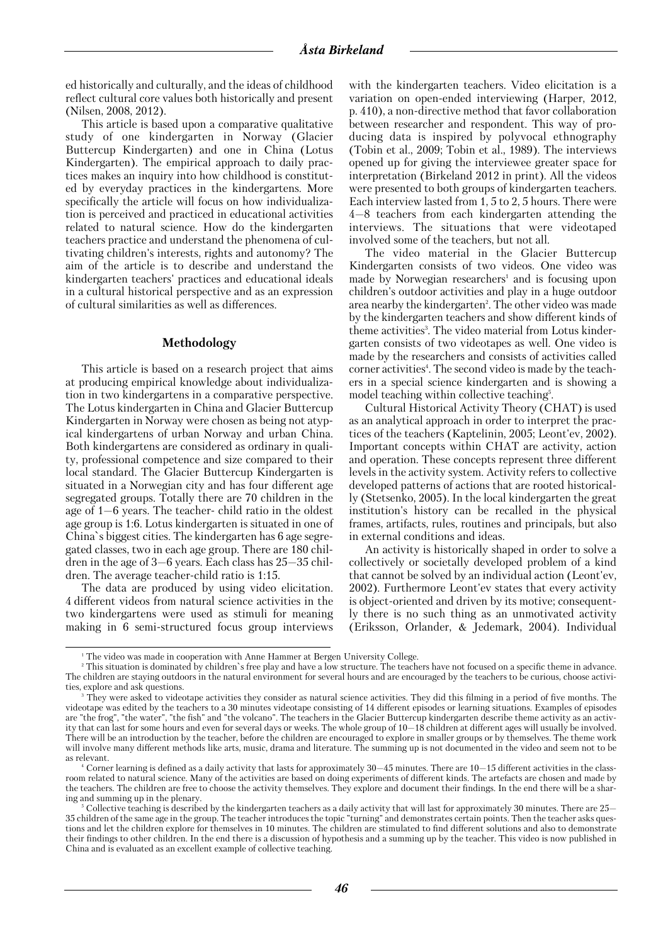ed historically and culturally, and the ideas of childhood reflect cultural core values both historically and present (Nilsen, 2008, 2012).

This article is based upon a comparative qualitative study of one kindergarten in Norway (Glacier Buttercup Kindergarten) and one in China (Lotus Kindergarten). The empirical approach to daily prac tices makes an inquiry into how childhood is constitut ed by everyday practices in the kindergartens. More specifically the article will focus on how individualiza tion is perceived and practiced in educational activities related to natural science. How do the kindergarten teachers practice and understand the phenomena of cul tivating children's interests, rights and autonomy? The aim of the article is to describe and understand the kindergarten teachers' practices and educational ideals in a cultural historical perspective and as an expression of cultural similarities as well as differences.

#### **Methodology**

This article is based on a research project that aims at producing empirical knowledge about individualiza tion in two kindergartens in a comparative perspective. The Lotus kindergarten in China and Glacier Buttercup Kindergarten in Norway were chosen as being not atyp ical kindergartens of urban Norway and urban China. Both kindergartens are considered as ordinary in quali ty, professional competence and size compared to their local standard. The Glacier Buttercup Kindergarten is situated in a Norwegian city and has four different age segregated groups. Totally there are 70 children in the age of 1—6 years. The teacher- child ratio in the oldest age group is 1:6. Lotus kindergarten is situated in one of China`s biggest cities. The kindergarten has 6 age segre gated classes, two in each age group. There are 180 chil dren in the age of 3—6 years. Each class has 25—35 chil dren. The average teacher-child ratio is 1:15.

The data are produced by using video elicitation. 4 different videos from natural science activities in the two kindergartens were used as stimuli for meaning making in 6 semi-structured focus group interviews

with the kindergarten teachers. Video elicitation is a variation on open-ended interviewing (Harper, 2012, p. 410), a non-directive method that favor collaboration between researcher and respondent. This way of pro ducing data is inspired by polyvocal ethnography (Tobin et al., 2009; Tobin et al., 1989). The interviews opened up for giving the interviewee greater space for interpretation (Birkeland 2012 in print). All the videos were presented to both groups of kindergarten teachers. Each interview lasted from 1, 5 to 2, 5 hours. There were 4—8 teachers from each kindergarten attending the interviews. The situations that were videotaped involved some of the teachers, but not all.

The video material in the Glacier Buttercup Kindergarten consists of two videos. One video was made by Norwegian researchers<sup>1</sup> and is focusing upon children's outdoor activities and play in a huge outdoor area nearby the kindergarten<sup>2</sup>. The other video was made by the kindergarten teachers and show different kinds of theme activities<sup>3</sup>. The video material from Lotus kindergarten consists of two videotapes as well. One video is made by the researchers and consists of activities called corner activities<sup>4</sup>. The second video is made by the teachers in a special science kindergarten and is showing a model teaching within collective teaching<sup>5</sup>.

Cultural Historical Activity Theory (CHAT) is used as an analytical approach in order to interpret the prac tices of the teachers (Kaptelinin, 2005; Leont'ev, 2002). Important concepts within CHAT are activity, action and operation. These concepts represent three different levels in the activity system. Activity refers to collective developed patterns of actions that are rooted historical ly (Stetsenko, 2005). In the local kindergarten the great institution's history can be recalled in the physical frames, artifacts, rules, routines and principals, but also in external conditions and ideas.

An activity is historically shaped in order to solve a collectively or societally developed problem of a kind that cannot be solved by an individual action (Leont'ev, 2002). Furthermore Leont'ev states that every activity is object-oriented and driven by its motive; consequent ly there is no such thing as an unmotivated activity (Eriksson, Orlander, & Jedemark, 2004). Individual

<sup>&</sup>lt;sup>1</sup> The video was made in cooperation with Anne Hammer at Bergen University College.

<sup>2</sup> This situation is dominated by children`s free play and have a low structure. The teachers have not focused on a specific theme in advance. The children are staying outdoors in the natural environment for several hours and are encouraged by the teachers to be curious, choose activi ties, explore and ask questions.

They were asked to videotape activities they consider as natural science activities. They did this filming in a period of five months. The videotape was edited by the teachers to a 30 minutes videotape consisting of 14 different episodes or learning situations. Examples of episodes are "the frog", "the water", "the fish" and "the volcano". The teachers in the Glacier Buttercup kindergarten describe theme activity as an activ ity that can last for some hours and even for several days or weeks. The whole group of 10—18 children at different ages will usually be involved. There will be an introduction by the teacher, before the children are encouraged to explore in smaller groups or by themselves. The theme work will involve many different methods like arts, music, drama and literature. The summing up is not documented in the video and seem not to be as relevant.

 $^4$  Corner learning is defined as a daily activity that lasts for approximately  $30-45$  minutes. There are  $10-15$  different activities in the classroom related to natural science. Many of the activities are based on doing experiments of different kinds. The artefacts are chosen and made by the teachers. The children are free to choose the activity themselves. They explore and document their findings. In the end there will be a shar ing and summing up in the plenary.

<sup>5</sup> Collective teaching is described by the kindergarten teachers as a daily activity that will last for approximately 30 minutes. There are 25— 35 children of the same age in the group. The teacher introduces the topic "turning" and demonstrates certain points. Then the teacher asks ques tions and let the children explore for themselves in 10 minutes. The children are stimulated to find different solutions and also to demonstrate their findings to other children. In the end there is a discussion of hypothesis and a summing up by the teacher. This video is now published in China and is evaluated as an excellent example of collective teaching.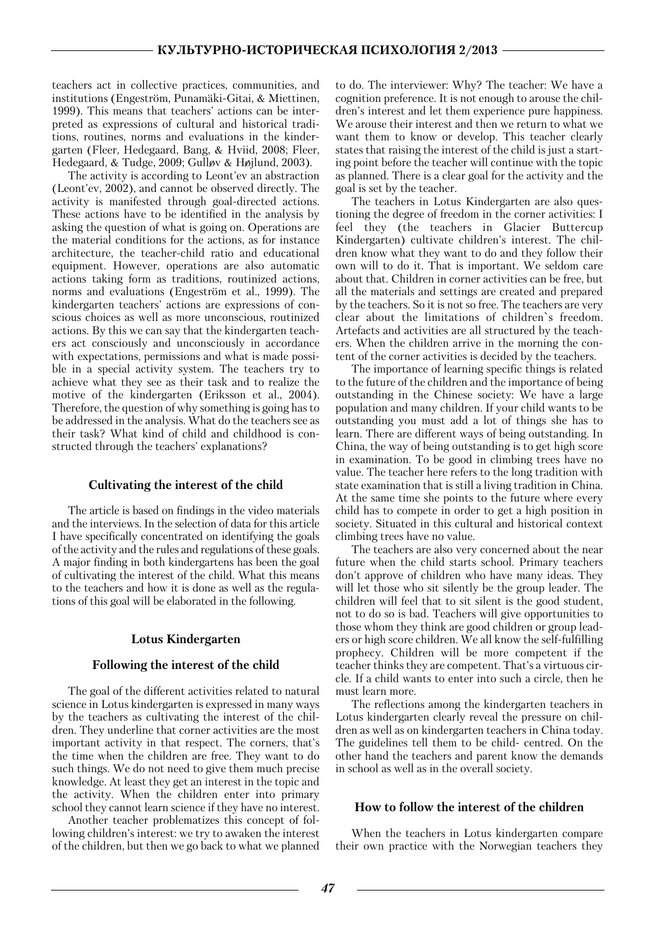teachers act in collective practices, communities, and teachers act in concerve practices, communicies, and<br>institutions (Engeström, Punamäki-Gitai, & Miettinen, 1999). This means that teachers' actions can be inter preted as expressions of cultural and historical tradi tions, routines, norms and evaluations in the kinder garten (Fleer, Hedegaard, Bang, & Hviid, 2008; Fleer, Hedegaard, & Tudge, 2009; Gullov & Hojlund, 2003).

The activity is according to Leont'ev an abstraction (Leont'ev, 2002), and cannot be observed directly. The activity is manifested through goal-directed actions. These actions have to be identified in the analysis by asking the question of what is going on. Operations are the material conditions for the actions, as for instance architecture, the teacher-child ratio and educational equipment. However, operations are also automatic actions taking form as traditions, routinized actions, norms and evaluations (Engeström et al., 1999). The kindergarten teachers' actions are expressions of con scious choices as well as more unconscious, routinized actions. By this we can say that the kindergarten teach ers act consciously and unconsciously in accordance with expectations, permissions and what is made possi ble in a special activity system. The teachers try to achieve what they see as their task and to realize the motive of the kindergarten (Eriksson et al., 2004). Therefore, the question of why something is going has to be addressed in the analysis. What do the teachers see as their task? What kind of child and childhood is con structed through the teachers' explanations?

## **Cultivating the interest of the child**

The article is based on findings in the video materials and the interviews. In the selection of data for this article I have specifically concentrated on identifying the goals of the activity and the rules and regulations of these goals. A major finding in both kindergartens has been the goal of cultivating the interest of the child. What this means to the teachers and how it is done as well as the regula tions of this goal will be elaborated in the following.

## **Lotus Kindergarten**

## **Following the interest of the child**

The goal of the different activities related to natural science in Lotus kindergarten is expressed in many ways by the teachers as cultivating the interest of the chil dren. They underline that corner activities are the most important activity in that respect. The corners, that's the time when the children are free. They want to do such things. We do not need to give them much precise knowledge. At least they get an interest in the topic and the activity. When the children enter into primary school they cannot learn science if they have no interest.

Another teacher problematizes this concept of fol lowing children's interest: we try to awaken the interest of the children, but then we go back to what we planned

to do. The interviewer: Why? The teacher: We have a cognition preference. It is not enough to arouse the chil dren's interest and let them experience pure happiness. We arouse their interest and then we return to what we want them to know or develop. This teacher clearly states that raising the interest of the child is just a start ing point before the teacher will continue with the topic as planned. There is a clear goal for the activity and the goal is set by the teacher.

The teachers in Lotus Kindergarten are also ques tioning the degree of freedom in the corner activities: I feel they (the teachers in Glacier Buttercup Kindergarten) cultivate children's interest. The chil dren know what they want to do and they follow their own will to do it. That is important. We seldom care about that. Children in corner activities can be free, but all the materials and settings are created and prepared by the teachers. So it is not so free. The teachers are very clear about the limitations of children`s freedom. Artefacts and activities are all structured by the teach ers. When the children arrive in the morning the con tent of the corner activities is decided by the teachers.

The importance of learning specific things is related to the future of the children and the importance of being outstanding in the Chinese society: We have a large population and many children. If your child wants to be outstanding you must add a lot of things she has to learn. There are different ways of being outstanding. In China, the way of being outstanding is to get high score in examination. To be good in climbing trees have no value. The teacher here refers to the long tradition with state examination that is still a living tradition in China. At the same time she points to the future where every child has to compete in order to get a high position in society. Situated in this cultural and historical context climbing trees have no value.

The teachers are also very concerned about the near future when the child starts school. Primary teachers don't approve of children who have many ideas. They will let those who sit silently be the group leader. The children will feel that to sit silent is the good student, not to do so is bad. Teachers will give opportunities to those whom they think are good children or group lead ers or high score children. We all know the self-fulfilling prophecy. Children will be more competent if the teacher thinks they are competent. That's a virtuous cir cle. If a child wants to enter into such a circle, then he must learn more.

The reflections among the kindergarten teachers in Lotus kindergarten clearly reveal the pressure on chil dren as well as on kindergarten teachers in China today. The guidelines tell them to be child- centred. On the other hand the teachers and parent know the demands in school as well as in the overall society.

## **How to follow the interest of the children**

When the teachers in Lotus kindergarten compare their own practice with the Norwegian teachers they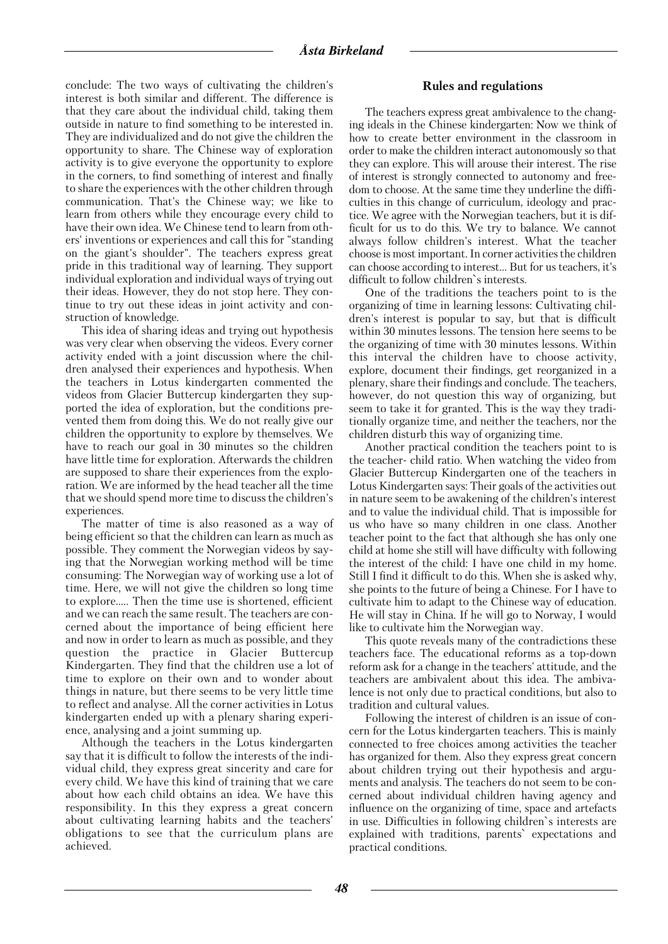conclude: The two ways of cultivating the children's interest is both similar and different. The difference is that they care about the individual child, taking them outside in nature to find something to be interested in. They are individualized and do not give the children the opportunity to share. The Chinese way of exploration activity is to give everyone the opportunity to explore in the corners, to find something of interest and finally to share the experiences with the other children through communication. That's the Chinese way; we like to learn from others while they encourage every child to have their own idea. We Chinese tend to learn from oth ers' inventions or experiences and call this for "standing on the giant's shoulder". The teachers express great pride in this traditional way of learning. They support individual exploration and individual ways of trying out their ideas. However, they do not stop here. They con tinue to try out these ideas in joint activity and con struction of knowledge.

This idea of sharing ideas and trying out hypothesis was very clear when observing the videos. Every corner activity ended with a joint discussion where the chil dren analysed their experiences and hypothesis. When the teachers in Lotus kindergarten commented the videos from Glacier Buttercup kindergarten they sup ported the idea of exploration, but the conditions pre vented them from doing this. We do not really give our children the opportunity to explore by themselves. We have to reach our goal in 30 minutes so the children have little time for exploration. Afterwards the children are supposed to share their experiences from the explo ration. We are informed by the head teacher all the time that we should spend more time to discuss the children's experiences.

The matter of time is also reasoned as a way of being efficient so that the children can learn as much as possible. They comment the Norwegian videos by say ing that the Norwegian working method will be time consuming: The Norwegian way of working use a lot of time. Here, we will not give the children so long time to explore….. Then the time use is shortened, efficient and we can reach the same result. The teachers are con cerned about the importance of being efficient here and now in order to learn as much as possible, and they question the practice in Glacier Buttercup Kindergarten. They find that the children use a lot of time to explore on their own and to wonder about things in nature, but there seems to be very little time to reflect and analyse. All the corner activities in Lotus kindergarten ended up with a plenary sharing experi ence, analysing and a joint summing up.

Although the teachers in the Lotus kindergarten say that it is difficult to follow the interests of the indi vidual child, they express great sincerity and care for every child. We have this kind of training that we care about how each child obtains an idea. We have this responsibility. In this they express a great concern about cultivating learning habits and the teachers' obligations to see that the curriculum plans are achieved.

#### **Rules and regulations**

The teachers express great ambivalence to the chang ing ideals in the Chinese kindergarten: Now we think of how to create better environment in the classroom in order to make the children interact autonomously so that they can explore. This will arouse their interest. The rise of interest is strongly connected to autonomy and free dom to choose. At the same time they underline the diffi culties in this change of curriculum, ideology and prac tice. We agree with the Norwegian teachers, but it is dif ficult for us to do this. We try to balance. We cannot always follow children's interest. What the teacher choose is most important. In corner activities the children can choose according to interest… But for us teachers, it's difficult to follow children`s interests.

One of the traditions the teachers point to is the organizing of time in learning lessons: Cultivating chil dren's interest is popular to say, but that is difficult within 30 minutes lessons. The tension here seems to be the organizing of time with 30 minutes lessons. Within this interval the children have to choose activity, explore, document their findings, get reorganized in a plenary, share their findings and conclude. The teachers, however, do not question this way of organizing, but seem to take it for granted. This is the way they tradi tionally organize time, and neither the teachers, nor the children disturb this way of organizing time.

Another practical condition the teachers point to is the teacher- child ratio. When watching the video from Glacier Buttercup Kindergarten one of the teachers in Lotus Kindergarten says: Their goals of the activities out in nature seem to be awakening of the children's interest and to value the individual child. That is impossible for us who have so many children in one class. Another teacher point to the fact that although she has only one child at home she still will have difficulty with following the interest of the child: I have one child in my home. Still I find it difficult to do this. When she is asked why, she points to the future of being a Chinese. For I have to cultivate him to adapt to the Chinese way of education. He will stay in China. If he will go to Norway, I would like to cultivate him the Norwegian way.

This quote reveals many of the contradictions these teachers face. The educational reforms as a top-down reform ask for a change in the teachers' attitude, and the teachers are ambivalent about this idea. The ambiva lence is not only due to practical conditions, but also to tradition and cultural values.

Following the interest of children is an issue of con cern for the Lotus kindergarten teachers. This is mainly connected to free choices among activities the teacher has organized for them. Also they express great concern about children trying out their hypothesis and argu ments and analysis. The teachers do not seem to be con cerned about individual children having agency and influence on the organizing of time, space and artefacts in use. Difficulties in following children`s interests are explained with traditions, parents` expectations and practical conditions.

*48*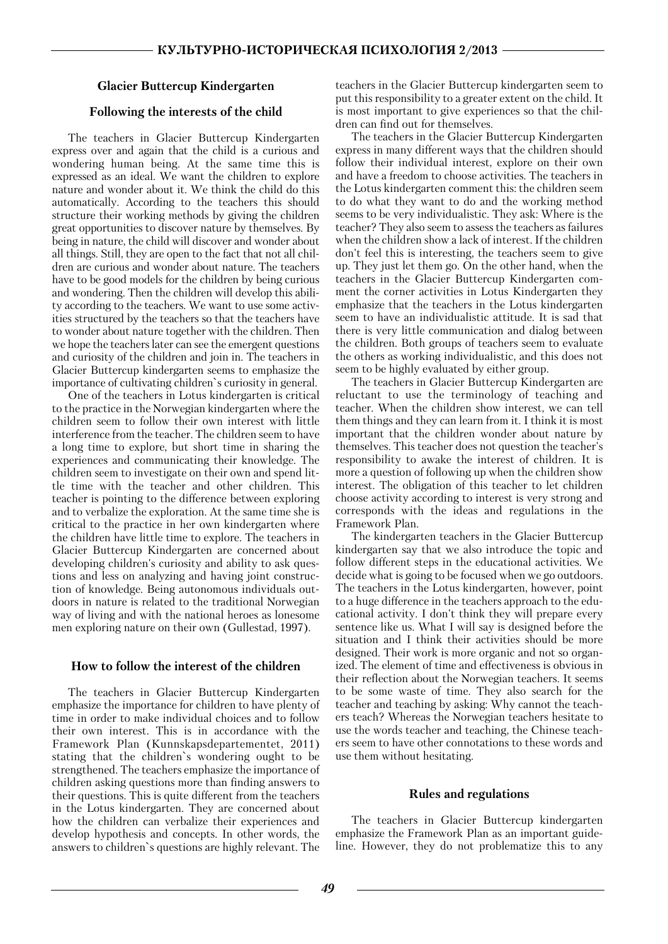## **Glacier Buttercup Kindergarten**

## **Following the interests of the child**

The teachers in Glacier Buttercup Kindergarten express over and again that the child is a curious and wondering human being. At the same time this is expressed as an ideal. We want the children to explore nature and wonder about it. We think the child do this automatically. According to the teachers this should structure their working methods by giving the children great opportunities to discover nature by themselves. By being in nature, the child will discover and wonder about all things. Still, they are open to the fact that not all chil dren are curious and wonder about nature. The teachers have to be good models for the children by being curious and wondering. Then the children will develop this abili ty according to the teachers. We want to use some activ ities structured by the teachers so that the teachers have to wonder about nature together with the children. Then we hope the teachers later can see the emergent questions and curiosity of the children and join in. The teachers in Glacier Buttercup kindergarten seems to emphasize the importance of cultivating children`s curiosity in general.

One of the teachers in Lotus kindergarten is critical to the practice in the Norwegian kindergarten where the children seem to follow their own interest with little interference from the teacher. The children seem to have a long time to explore, but short time in sharing the experiences and communicating their knowledge. The children seem to investigate on their own and spend lit tle time with the teacher and other children. This teacher is pointing to the difference between exploring and to verbalize the exploration. At the same time she is critical to the practice in her own kindergarten where the children have little time to explore. The teachers in Glacier Buttercup Kindergarten are concerned about developing children's curiosity and ability to ask ques tions and less on analyzing and having joint construc tion of knowledge. Being autonomous individuals out doors in nature is related to the traditional Norwegian way of living and with the national heroes as lonesome men exploring nature on their own (Gullestad, 1997).

## **How to follow the interest of the children**

The teachers in Glacier Buttercup Kindergarten emphasize the importance for children to have plenty of time in order to make individual choices and to follow their own interest. This is in accordance with the Framework Plan (Kunnskapsdepartementet, 2011) stating that the children`s wondering ought to be strengthened. The teachers emphasize the importance of children asking questions more than finding answers to their questions. This is quite different from the teachers in the Lotus kindergarten. They are concerned about how the children can verbalize their experiences and develop hypothesis and concepts. In other words, the answers to children`s questions are highly relevant. The

teachers in the Glacier Buttercup kindergarten seem to put this responsibility to a greater extent on the child. It is most important to give experiences so that the chil dren can find out for themselves.

The teachers in the Glacier Buttercup Kindergarten express in many different ways that the children should follow their individual interest, explore on their own and have a freedom to choose activities. The teachers in the Lotus kindergarten comment this: the children seem to do what they want to do and the working method seems to be very individualistic. They ask: Where is the teacher? They also seem to assess the teachers as failures when the children show a lack of interest. If the children don't feel this is interesting, the teachers seem to give up. They just let them go. On the other hand, when the teachers in the Glacier Buttercup Kindergarten com ment the corner activities in Lotus Kindergarten they emphasize that the teachers in the Lotus kindergarten seem to have an individualistic attitude. It is sad that there is very little communication and dialog between the children. Both groups of teachers seem to evaluate the others as working individualistic, and this does not seem to be highly evaluated by either group.

The teachers in Glacier Buttercup Kindergarten are reluctant to use the terminology of teaching and teacher. When the children show interest, we can tell them things and they can learn from it. I think it is most important that the children wonder about nature by themselves. This teacher does not question the teacher's responsibility to awake the interest of children. It is more a question of following up when the children show interest. The obligation of this teacher to let children choose activity according to interest is very strong and corresponds with the ideas and regulations in the Framework Plan.

The kindergarten teachers in the Glacier Buttercup kindergarten say that we also introduce the topic and follow different steps in the educational activities. We decide what is going to be focused when we go outdoors. The teachers in the Lotus kindergarten, however, point to a huge difference in the teachers approach to the edu cational activity. I don't think they will prepare every sentence like us. What I will say is designed before the situation and I think their activities should be more designed. Their work is more organic and not so organ ized. The element of time and effectiveness is obvious in their reflection about the Norwegian teachers. It seems to be some waste of time. They also search for the teacher and teaching by asking: Why cannot the teach ers teach? Whereas the Norwegian teachers hesitate to use the words teacher and teaching, the Chinese teach ers seem to have other connotations to these words and use them without hesitating.

#### **Rules and regulations**

The teachers in Glacier Buttercup kindergarten emphasize the Framework Plan as an important guide line. However, they do not problematize this to any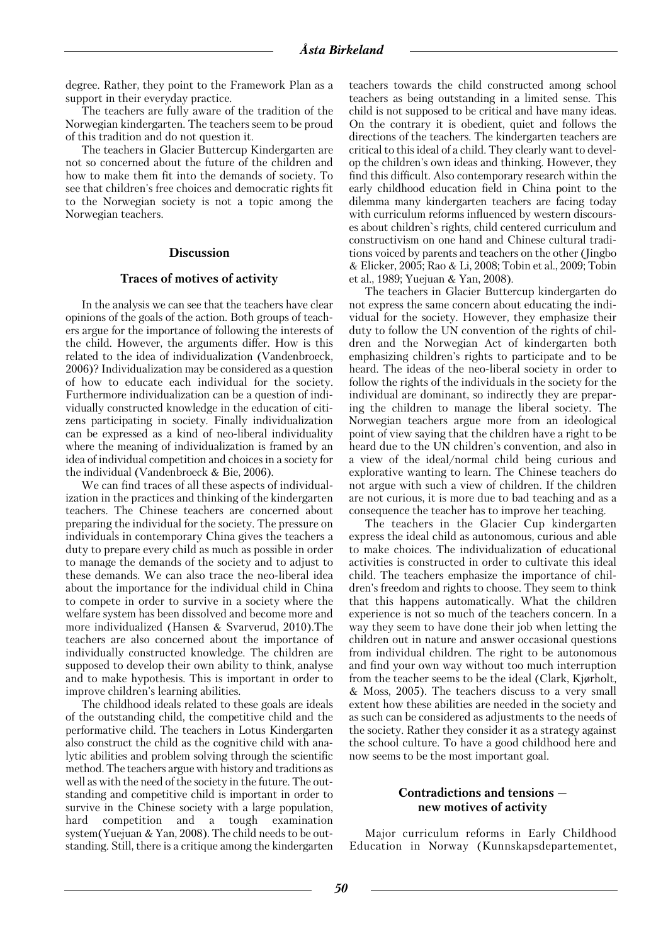degree. Rather, they point to the Framework Plan as a support in their everyday practice.

The teachers are fully aware of the tradition of the Norwegian kindergarten. The teachers seem to be proud of this tradition and do not question it.

The teachers in Glacier Buttercup Kindergarten are not so concerned about the future of the children and how to make them fit into the demands of society. To see that children's free choices and democratic rights fit to the Norwegian society is not a topic among the Norwegian teachers.

#### **Discussion**

#### **Traces of motives of activity**

In the analysis we can see that the teachers have clear opinions of the goals of the action. Both groups of teach ers argue for the importance of following the interests of the child. However, the arguments differ. How is this related to the idea of individualization (Vandenbroeck, 2006)? Individualization may be considered as a question of how to educate each individual for the society. Furthermore individualization can be a question of indi vidually constructed knowledge in the education of citi zens participating in society. Finally individualization can be expressed as a kind of neo-liberal individuality where the meaning of individualization is framed by an idea of individual competition and choices in a society for the individual (Vandenbroeck & Bie, 2006).

We can find traces of all these aspects of individual ization in the practices and thinking of the kindergarten teachers. The Chinese teachers are concerned about preparing the individual for the society. The pressure on individuals in contemporary China gives the teachers a duty to prepare every child as much as possible in order to manage the demands of the society and to adjust to these demands. We can also trace the neo-liberal idea about the importance for the individual child in China to compete in order to survive in a society where the welfare system has been dissolved and become more and more individualized (Hansen & Svarverud, 2010).The teachers are also concerned about the importance of individually constructed knowledge. The children are supposed to develop their own ability to think, analyse and to make hypothesis. This is important in order to improve children's learning abilities.

The childhood ideals related to these goals are ideals of the outstanding child, the competitive child and the performative child. The teachers in Lotus Kindergarten also construct the child as the cognitive child with ana lytic abilities and problem solving through the scientific method. The teachers argue with history and traditions as well as with the need of the society in the future. The out standing and competitive child is important in order to survive in the Chinese society with a large population, hard competition and a tough examination system(Yuejuan & Yan, 2008). The child needs to be out standing. Still, there is a critique among the kindergarten teachers towards the child constructed among school teachers as being outstanding in a limited sense. This child is not supposed to be critical and have many ideas. On the contrary it is obedient, quiet and follows the directions of the teachers. The kindergarten teachers are critical to this ideal of a child. They clearly want to devel op the children's own ideas and thinking. However, they find this difficult. Also contemporary research within the early childhood education field in China point to the dilemma many kindergarten teachers are facing today with curriculum reforms influenced by western discours es about children`s rights, child centered curriculum and constructivism on one hand and Chinese cultural tradi tions voiced by parents and teachers on the other (Jingbo & Elicker, 2005; Rao & Li, 2008; Tobin et al., 2009; Tobin et al., 1989; Yuejuan & Yan, 2008).

The teachers in Glacier Buttercup kindergarten do not express the same concern about educating the indi vidual for the society. However, they emphasize their duty to follow the UN convention of the rights of chil dren and the Norwegian Act of kindergarten both emphasizing children's rights to participate and to be heard. The ideas of the neo-liberal society in order to follow the rights of the individuals in the society for the individual are dominant, so indirectly they are prepar ing the children to manage the liberal society. The Norwegian teachers argue more from an ideological point of view saying that the children have a right to be heard due to the UN children's convention, and also in a view of the ideal/normal child being curious and explorative wanting to learn. The Chinese teachers do not argue with such a view of children. If the children are not curious, it is more due to bad teaching and as a consequence the teacher has to improve her teaching.

The teachers in the Glacier Cup kindergarten express the ideal child as autonomous, curious and able to make choices. The individualization of educational activities is constructed in order to cultivate this ideal child. The teachers emphasize the importance of chil dren's freedom and rights to choose. They seem to think that this happens automatically. What the children experience is not so much of the teachers concern. In a way they seem to have done their job when letting the children out in nature and answer occasional questions from individual children. The right to be autonomous and find your own way without too much interruption from the teacher seems to be the ideal (Clark, Kjorholt, & Moss, 2005). The teachers discuss to a very small extent how these abilities are needed in the society and as such can be considered as adjustments to the needs of the society. Rather they consider it as a strategy against the school culture. To have a good childhood here and now seems to be the most important goal.

#### **Contradictions and tensions new motives of activity**

Major curriculum reforms in Early Childhood Education in Norway (Kunnskapsdepartementet,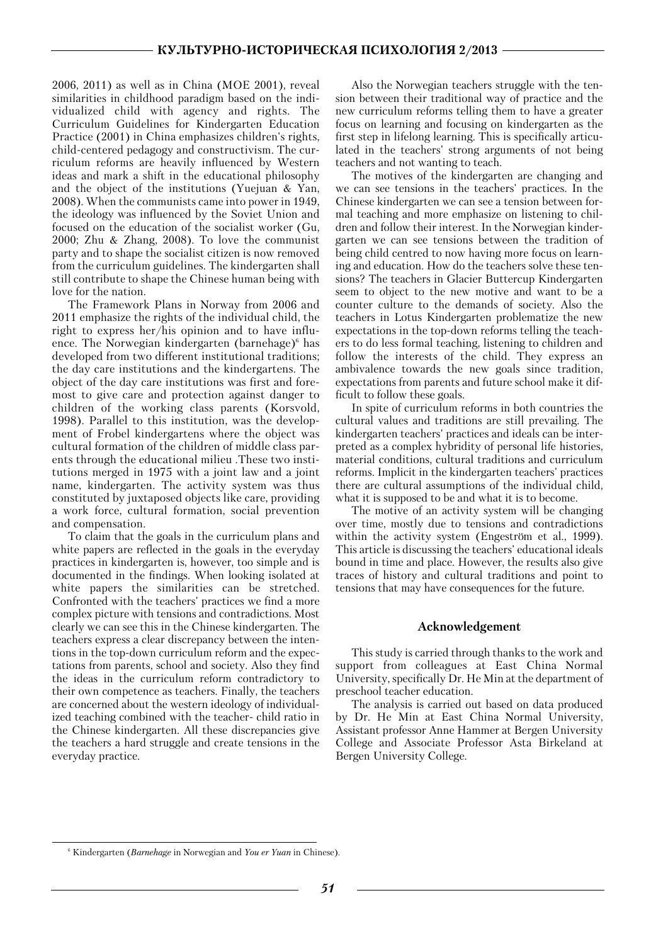2006, 2011) as well as in China (MOE 2001), reveal similarities in childhood paradigm based on the indi vidualized child with agency and rights. The Curriculum Guidelines for Kindergarten Education Practice (2001) in China emphasizes children's rights, child-centered pedagogy and constructivism. The cur riculum reforms are heavily influenced by Western ideas and mark a shift in the educational philosophy and the object of the institutions (Yuejuan & Yan, 2008). When the communists came into power in 1949, the ideology was influenced by the Soviet Union and focused on the education of the socialist worker (Gu, 2000; Zhu & Zhang, 2008). To love the communist party and to shape the socialist citizen is now removed from the curriculum guidelines. The kindergarten shall still contribute to shape the Chinese human being with love for the nation.

The Framework Plans in Norway from 2006 and 2011 emphasize the rights of the individual child, the right to express her/his opinion and to have influ ence. The Norwegian kindergarten (barnehage) $6$  has developed from two different institutional traditions; the day care institutions and the kindergartens. The object of the day care institutions was first and fore most to give care and protection against danger to children of the working class parents (Korsvold, 1998). Parallel to this institution, was the develop ment of Frobel kindergartens where the object was cultural formation of the children of middle class par ents through the educational milieu .These two insti tutions merged in 1975 with a joint law and a joint name, kindergarten. The activity system was thus constituted by juxtaposed objects like care, providing a work force, cultural formation, social prevention and compensation.

To claim that the goals in the curriculum plans and white papers are reflected in the goals in the everyday practices in kindergarten is, however, too simple and is documented in the findings. When looking isolated at white papers the similarities can be stretched. Confronted with the teachers' practices we find a more complex picture with tensions and contradictions. Most clearly we can see this in the Chinese kindergarten. The teachers express a clear discrepancy between the inten tions in the top-down curriculum reform and the expec tations from parents, school and society. Also they find the ideas in the curriculum reform contradictory to their own competence as teachers. Finally, the teachers are concerned about the western ideology of individual ized teaching combined with the teacher- child ratio in the Chinese kindergarten. All these discrepancies give the teachers a hard struggle and create tensions in the everyday practice.

Also the Norwegian teachers struggle with the ten sion between their traditional way of practice and the new curriculum reforms telling them to have a greater focus on learning and focusing on kindergarten as the first step in lifelong learning. This is specifically articu lated in the teachers' strong arguments of not being teachers and not wanting to teach.

The motives of the kindergarten are changing and we can see tensions in the teachers' practices. In the Chinese kindergarten we can see a tension between for mal teaching and more emphasize on listening to chil dren and follow their interest. In the Norwegian kinder garten we can see tensions between the tradition of being child centred to now having more focus on learn ing and education. How do the teachers solve these ten sions? The teachers in Glacier Buttercup Kindergarten seem to object to the new motive and want to be a counter culture to the demands of society. Also the teachers in Lotus Kindergarten problematize the new expectations in the top-down reforms telling the teach ers to do less formal teaching, listening to children and follow the interests of the child. They express an ambivalence towards the new goals since tradition, expectations from parents and future school make it dif ficult to follow these goals.

In spite of curriculum reforms in both countries the cultural values and traditions are still prevailing. The kindergarten teachers' practices and ideals can be inter preted as a complex hybridity of personal life histories, material conditions, cultural traditions and curriculum reforms. Implicit in the kindergarten teachers' practices there are cultural assumptions of the individual child, what it is supposed to be and what it is to become.

The motive of an activity system will be changing over time, mostly due to tensions and contradictions within the activity system (Engeström et al., 1999). This article is discussing the teachers' educational ideals bound in time and place. However, the results also give traces of history and cultural traditions and point to tensions that may have consequences for the future.

#### **Acknowledgement**

This study is carried through thanks to the work and support from colleagues at East China Normal University, specifically Dr. He Min at the department of preschool teacher education.

The analysis is carried out based on data produced by Dr. He Min at East China Normal University, Assistant professor Anne Hammer at Bergen University College and Associate Professor Asta Birkeland at Bergen University College.

<sup>6</sup> Kindergarten (*Barnehage* in Norwegian and *You er Yuan* in Chinese).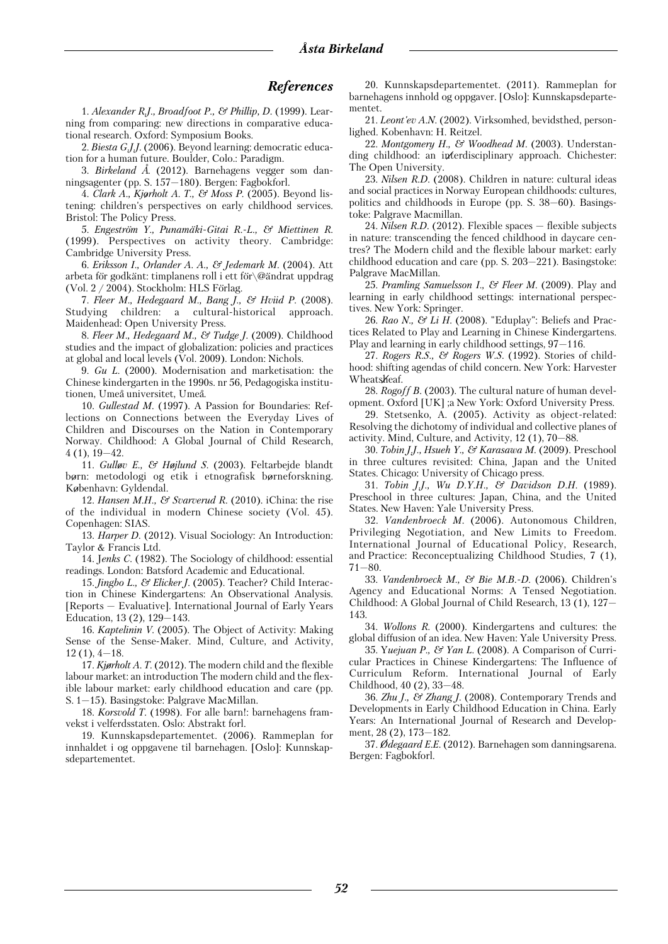#### *References*

1. *Alexander R.J., Broadfoot P., & Phillip, D.* (1999). Lear ning from comparing: new directions in comparative educa tional research. Oxford: Symposium Books.

2. *Biesta G.J.J.* (2006). Beyond learning: democratic educa tion for a human future. Boulder, Colo.: Paradigm.

3. *Birkeland A°.* (2012). Barnehagens vegger som dan ningsagenter (pp. S. 157—180). Bergen: Fagbokforl.

4. *Clark A., Kjorholt A. T., & Moss P.* (2005). Beyond lis tening: children's perspectives on early childhood services. Bristol: The Policy Press.

5. *Engeström Y., Punamäki-Gitai R.-L., & Miettinen R.* (1999). Perspectives on activity theory. Cambridge: Cambridge University Press.

6. *Eriksson I., Orlander A. A., & Jedemark M.* (2004). Att arbeta för godkänt: timplanens roll i ett för $\oslash$ @ändrat uppdrag (Vol.  $2 / 2004$ ). Stockholm: HLS Förlag.

7. *Fleer M., Hedegaard M., Bang J., & Hviid P.* (2008). Studying children: a cultural-historical approach. Maidenhead: Open University Press.

8. *Fleer M., Hedegaard M., & Tudge J.* (2009). Childhood studies and the impact of globalization: policies and practices at global and local levels (Vol. 2009). London: Nichols.

9. *Gu L.* (2000). Modernisation and marketisation: the Chinese kindergarten in the 1990s. nr 56, Pedagogiska institu tionen, Umeå universitet, Umeå.

10. *Gullestad M.* (1997). A Passion for Boundaries: Ref lections on Connections between the Everyday Lives of Children and Discourses on the Nation in Contemporary Norway. Childhood: A Global Journal of Child Research, 4 (1), 19—42.

11. *Gullov E., & Hojlund S.* (2003). Feltarbejde blandt born: metodologi og etik i etnografisk borneforskning. Kobenhavn: Gyldendal.

12. *Hansen M.H., & Svarverud R.* (2010). iChina: the rise of the individual in modern Chinese society (Vol. 45). Copenhagen: SIAS.

13. *Harper D.* (2012). Visual Sociology: An Introduction: Taylor & Francis Ltd.

14. J*enks C.* (1982). The Sociology of childhood: essential readings. London: Batsford Academic and Educational.

15. *Jingbo L., & Elicker J.* (2005). Teacher? Child Interac tion in Chinese Kindergartens: An Observational Analysis. [Reports — Evaluative]. International Journal of Early Years Education, 13 (2), 129—143.

16. *Kaptelinin V.* (2005). The Object of Activity: Making Sense of the Sense-Maker. Mind, Culture, and Activity,  $12(1), 4-18.$ 

17. *Kjorholt A. T.* (2012). The modern child and the flexible labour market: an introduction The modern child and the flex ible labour market: early childhood education and care (pp. S. 1—15). Basingstoke: Palgrave MacMillan.

18. *Korsvold T.* (1998). For alle barn!: barnehagens fram vekst i velferdsstaten. Oslo: Abstrakt forl.

19. Kunnskapsdepartementet. (2006). Rammeplan for innhaldet i og oppgavene til barnehagen. [Oslo]: Kunnskap sdepartementet.

20. Kunnskapsdepartementet. (2011). Rammeplan for barnehagens innhold og oppgaver. [Oslo]: Kunnskapsdeparte mentet.

21. *Leont'ev A.N.* (2002). Virksomhed, bevidsthed, person lighed. Kobenhavn: H. Reitzel.

22. *Montgomery H., & Woodhead M.* (2003). Understan ding childhood: an interdisciplinary approach. Chichester: The Open University.

23. *Nilsen R.D.* (2008). Children in nature: cultural ideas and social practices in Norway European childhoods: cultures, politics and childhoods in Europe (pp. S. 38—60). Basings toke: Palgrave Macmillan.

24. *Nilsen R.D.* (2012). Flexible spaces — flexible subjects in nature: transcending the fenced childhood in daycare cen tres? The Modern child and the flexible labour market: early childhood education and care (pp. S. 203—221). Basingstoke: Palgrave MacMillan.

25. *Pramling Samuelsson I., & Fleer M.* (2009). Play and learning in early childhood settings: international perspec tives. New York: Springer.

26. *Rao N., & Li H.* (2008). "Eduplay": Beliefs and Prac tices Related to Play and Learning in Chinese Kindergartens. Play and learning in early childhood settings, 97—116.

27. *Rogers R.S., & Rogers W.S.* (1992). Stories of child hood: shifting agendas of child concern. New York: Harvester Wheatskeaf.

28. *Rogoff B.* (2003). The cultural nature of human devel opment. Oxford [UK] ;a New York: Oxford University Press.

29. Stetsenko, A. (2005). Activity as object-related: Resolving the dichotomy of individual and collective planes of activity. Mind, Culture, and Activity, 12 (1), 70—88.

30. *Tobin J.J., Hsueh Y., & Karasawa M.* (2009). Preschool in three cultures revisited: China, Japan and the United States. Chicago: University of Chicago press.

31. *Tobin J.J., Wu D.Y.H., & Davidson D.H.* (1989). Preschool in three cultures: Japan, China, and the United States. New Haven: Yale University Press.

32. *Vandenbroeck M.* (2006). Autonomous Children, Privileging Negotiation, and New Limits to Freedom. International Journal of Educational Policy, Research, and Practice: Reconceptualizing Childhood Studies, 7 (1), 71—80.

33. *Vandenbroeck M., & Bie M.B.2D.* (2006). Children's Agency and Educational Norms: A Tensed Negotiation. Childhood: A Global Journal of Child Research, 13 (1), 127— 143.

34. *Wollons R.* (2000). Kindergartens and cultures: the global diffusion of an idea. New Haven: Yale University Press.

35. Y*uejuan P., & Yan L.* (2008). A Comparison of Curri cular Practices in Chinese Kindergartens: The Influence of Curriculum Reform. International Journal of Early Childhood, 40 (2), 33—48.

36. *Zhu J., & Zhang J.* (2008). Contemporary Trends and Developments in Early Childhood Education in China. Early Years: An International Journal of Research and Develop ment, 28 (2), 173—182.

37. *Odegaard E.E.* (2012). Barnehagen som danningsarena. Bergen: Fagbokforl.